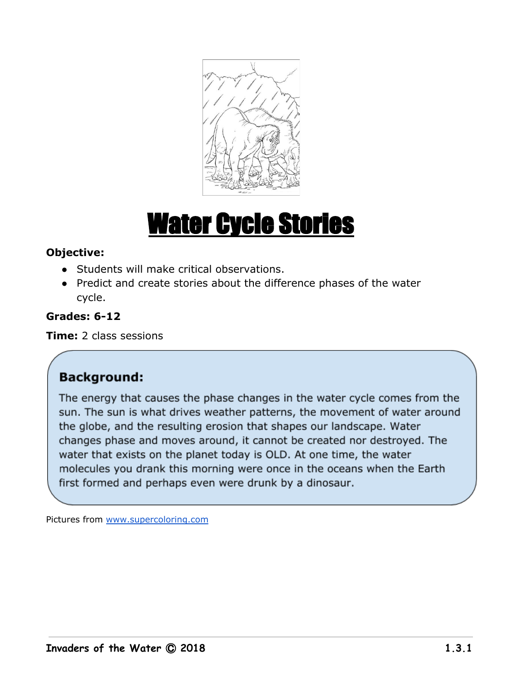

# Water Cycle Stories

# **Objective:**

- Students will make critical observations.
- Predict and create stories about the difference phases of the water cycle.

# **Grades: 6-12**

**Time:** 2 class sessions

# **Background:**

The energy that causes the phase changes in the water cycle comes from the sun. The sun is what drives weather patterns, the movement of water around the globe, and the resulting erosion that shapes our landscape. Water changes phase and moves around, it cannot be created nor destroyed. The water that exists on the planet today is OLD. At one time, the water molecules you drank this morning were once in the oceans when the Earth first formed and perhaps even were drunk by a dinosaur.

Pictures from [www.supercoloring.com](http://www.supercoloring.com/)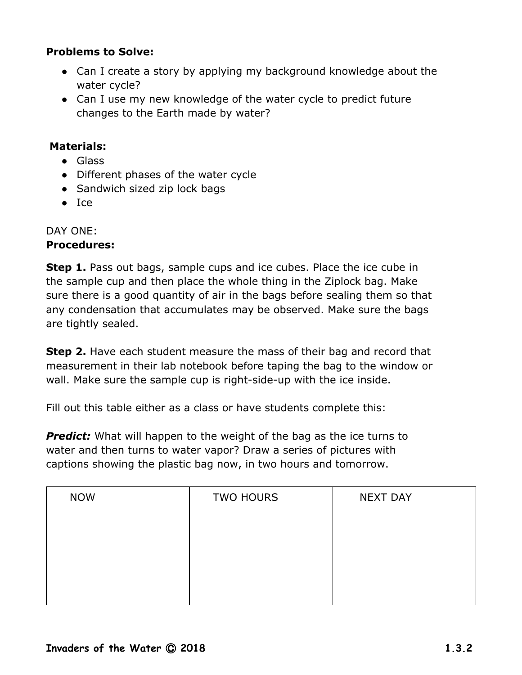#### **Problems to Solve:**

- Can I create a story by applying my background knowledge about the water cycle?
- Can I use my new knowledge of the water cycle to predict future changes to the Earth made by water?

#### **Materials:**

- Glass
- Different phases of the water cycle
- Sandwich sized zip lock bags
- Ice

# DAY ONE:

# **Procedures:**

**Step 1.** Pass out bags, sample cups and ice cubes. Place the ice cube in the sample cup and then place the whole thing in the Ziplock bag. Make sure there is a good quantity of air in the bags before sealing them so that any condensation that accumulates may be observed. Make sure the bags are tightly sealed.

**Step 2.** Have each student measure the mass of their bag and record that measurement in their lab notebook before taping the bag to the window or wall. Make sure the sample cup is right-side-up with the ice inside.

Fill out this table either as a class or have students complete this:

**Predict:** What will happen to the weight of the bag as the ice turns to water and then turns to water vapor? Draw a series of pictures with captions showing the plastic bag now, in two hours and tomorrow.

| <b>TWO HOURS</b> | <b>NEXT DAY</b> |
|------------------|-----------------|
|                  |                 |
|                  |                 |
|                  |                 |
|                  |                 |
|                  |                 |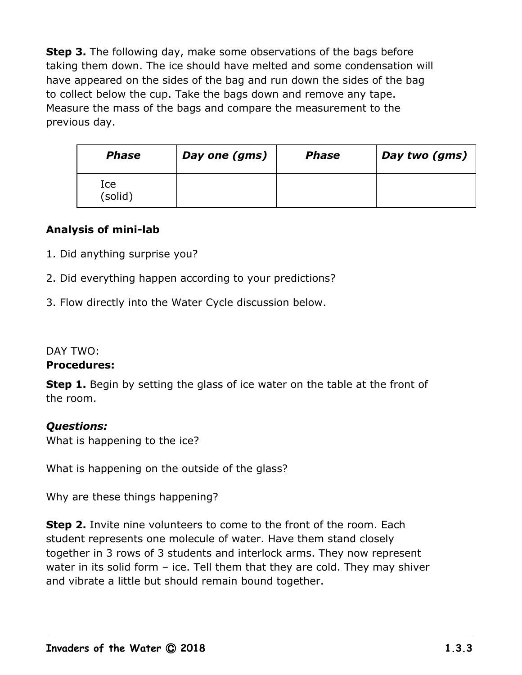**Step 3.** The following day, make some observations of the bags before taking them down. The ice should have melted and some condensation will have appeared on the sides of the bag and run down the sides of the bag to collect below the cup. Take the bags down and remove any tape. Measure the mass of the bags and compare the measurement to the previous day.

| <b>Phase</b>   | Day one (gms) | <b>Phase</b> | Day two (gms) |
|----------------|---------------|--------------|---------------|
| Ice<br>(solid) |               |              |               |

# **Analysis of mini-lab**

- 1. Did anything surprise you?
- 2. Did everything happen according to your predictions?
- 3. Flow directly into the Water Cycle discussion below.

#### DAY TWO:

#### **Procedures:**

**Step 1.** Begin by setting the glass of ice water on the table at the front of the room.

#### *Questions:*

What is happening to the ice?

What is happening on the outside of the glass?

Why are these things happening?

**Step 2.** Invite nine volunteers to come to the front of the room. Each student represents one molecule of water. Have them stand closely together in 3 rows of 3 students and interlock arms. They now represent water in its solid form – ice. Tell them that they are cold. They may shiver and vibrate a little but should remain bound together.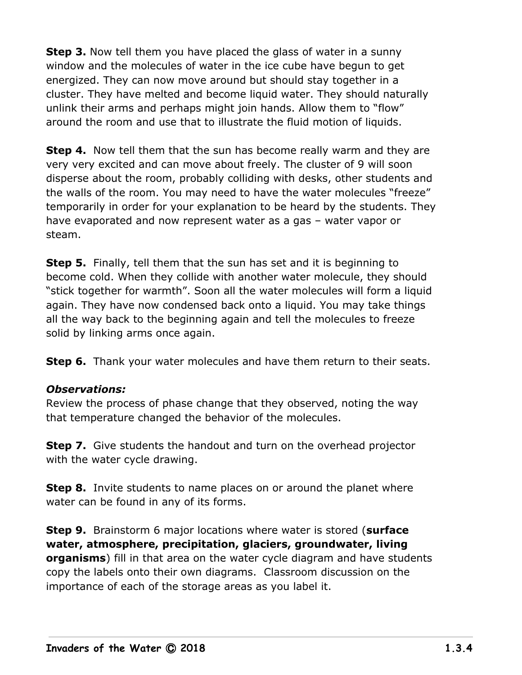**Step 3.** Now tell them you have placed the glass of water in a sunny window and the molecules of water in the ice cube have begun to get energized. They can now move around but should stay together in a cluster. They have melted and become liquid water. They should naturally unlink their arms and perhaps might join hands. Allow them to "flow" around the room and use that to illustrate the fluid motion of liquids.

**Step 4.** Now tell them that the sun has become really warm and they are very very excited and can move about freely. The cluster of 9 will soon disperse about the room, probably colliding with desks, other students and the walls of the room. You may need to have the water molecules "freeze" temporarily in order for your explanation to be heard by the students. They have evaporated and now represent water as a gas – water vapor or steam.

**Step 5.** Finally, tell them that the sun has set and it is beginning to become cold. When they collide with another water molecule, they should "stick together for warmth". Soon all the water molecules will form a liquid again. They have now condensed back onto a liquid. You may take things all the way back to the beginning again and tell the molecules to freeze solid by linking arms once again.

**Step 6.** Thank your water molecules and have them return to their seats.

# *Observations:*

Review the process of phase change that they observed, noting the way that temperature changed the behavior of the molecules.

**Step 7.** Give students the handout and turn on the overhead projector with the water cycle drawing.

**Step 8.** Invite students to name places on or around the planet where water can be found in any of its forms.

**Step 9.** Brainstorm 6 major locations where water is stored (**surface water, atmosphere, precipitation, glaciers, groundwater, living organisms**) fill in that area on the water cycle diagram and have students copy the labels onto their own diagrams. Classroom discussion on the importance of each of the storage areas as you label it.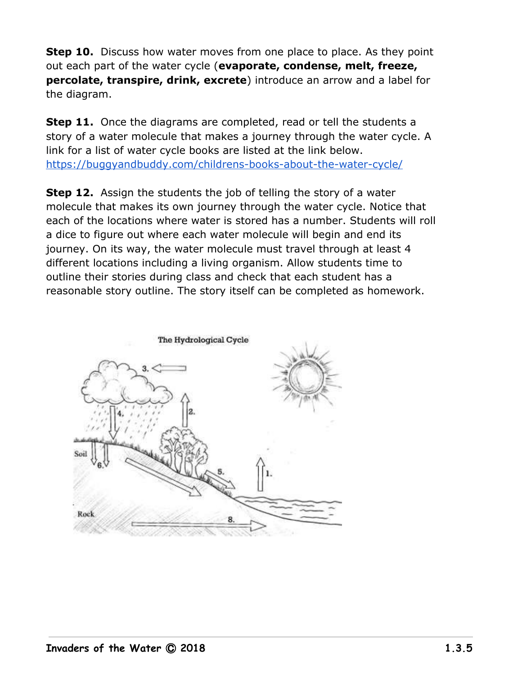**Step 10.** Discuss how water moves from one place to place. As they point out each part of the water cycle (**evaporate, condense, melt, freeze, percolate, transpire, drink, excrete**) introduce an arrow and a label for the diagram.

**Step 11.** Once the diagrams are completed, read or tell the students a story of a water molecule that makes a journey through the water cycle. A link for a list of water cycle books are listed at the link below. <https://buggyandbuddy.com/childrens-books-about-the-water-cycle/>

**Step 12.** Assign the students the job of telling the story of a water molecule that makes its own journey through the water cycle. Notice that each of the locations where water is stored has a number. Students will roll a dice to figure out where each water molecule will begin and end its journey. On its way, the water molecule must travel through at least 4 different locations including a living organism. Allow students time to outline their stories during class and check that each student has a reasonable story outline. The story itself can be completed as homework.